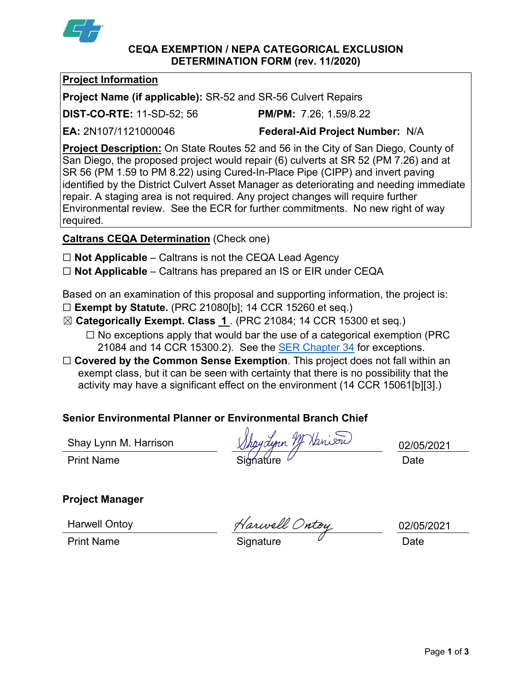

#### **CEQA EXEMPTION / NEPA CATEGORICAL EXCLUSION DETERMINATION FORM (rev. 11/2020)**

## **Project Information**

**Project Name (if applicable):** SR-52 and SR-56 Culvert Repairs

**DIST-CO-RTE:** 11-SD-52; 56 **PM/PM:** 7.26; 1.59/8.22

**EA:** 2N107/1121000046 **Federal-Aid Project Number:** N/A

**Project Description:** On State Routes 52 and 56 in the City of San Diego, County of San Diego, the proposed project would repair (6) culverts at SR 52 (PM 7.26) and at SR 56 (PM 1.59 to PM 8.22) using Cured-In-Place Pipe (CIPP) and invert paving identified by the District Culvert Asset Manager as deteriorating and needing immediate repair. A staging area is not required. Any project changes will require further Environmental review. See the ECR for further commitments. No new right of way required.

**Caltrans CEQA Determination** (Check one)

- ☐ **Not Applicable** Caltrans is not the CEQA Lead Agency
- ☐ **Not Applicable** Caltrans has prepared an IS or EIR under CEQA

Based on an examination of this proposal and supporting information, the project is:

- ☐ **Exempt by Statute.** (PRC 21080[b]; 14 CCR 15260 et seq.)
- ☒ **Categorically Exempt. Class 1** . (PRC 21084; 14 CCR 15300 et seq.)
	- $\Box$  No exceptions apply that would bar the use of a categorical exemption (PRC 21084 and 14 CCR 15300.2). See the [SER Chapter 34](https://dot.ca.gov/programs/environmental-analysis/standard-environmental-reference-ser/volume-1-guidance-for-compliance/ch-34-exemptions-to-ceqa#except) for exceptions.
- □ **Covered by the Common Sense Exemption**. This project does not fall within an exempt class, but it can be seen with certainty that there is no possibility that the activity may have a significant effect on the environment (14 CCR 15061[b][3].)

# **Senior Environmental Planner or Environmental Branch Chief**

Shay Lynn M. Harrison

Jaynn Mr Hanison Print Name Signature Communication of the Signature Communication of the Date

02/05/2021

# **Project Manager**

Harwell Ontoy

Print Name Signature Date

02/05/2021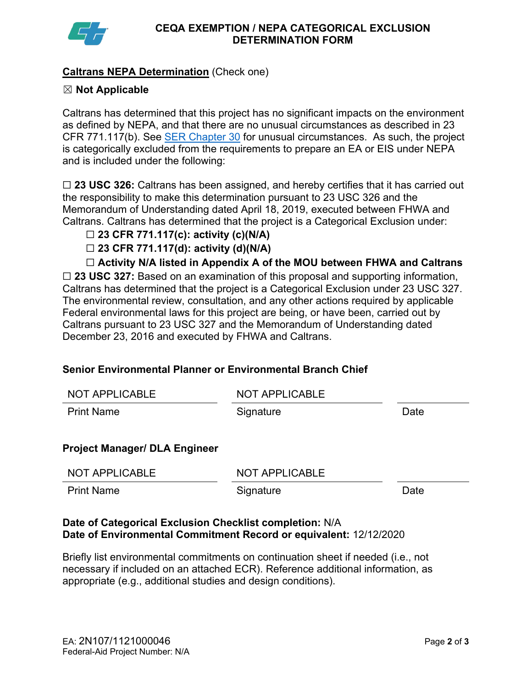

## **Caltrans NEPA Determination** (Check one)

## ☒ **Not Applicable**

Caltrans has determined that this project has no significant impacts on the environment as defined by NEPA, and that there are no unusual circumstances as described in 23 CFR 771.117(b). See [SER Chapter 30](https://dot.ca.gov/programs/environmental-analysis/standard-environmental-reference-ser/volume-1-guidance-for-compliance/ch-30-categorical-exclusions#exception) for unusual circumstances. As such, the project is categorically excluded from the requirements to prepare an EA or EIS under NEPA and is included under the following:

☐ **23 USC 326:** Caltrans has been assigned, and hereby certifies that it has carried out the responsibility to make this determination pursuant to 23 USC 326 and the Memorandum of Understanding dated April 18, 2019, executed between FHWA and Caltrans. Caltrans has determined that the project is a Categorical Exclusion under:

#### ☐ **23 CFR 771.117(c): activity (c)(N/A)**

☐ **23 CFR 771.117(d): activity (d)(N/A)**

☐ **Activity N/A listed in Appendix A of the MOU between FHWA and Caltrans**

☐ **23 USC 327:** Based on an examination of this proposal and supporting information, Caltrans has determined that the project is a Categorical Exclusion under 23 USC 327. The environmental review, consultation, and any other actions required by applicable Federal environmental laws for this project are being, or have been, carried out by Caltrans pursuant to 23 USC 327 and the Memorandum of Understanding dated December 23, 2016 and executed by FHWA and Caltrans.

#### **Senior Environmental Planner or Environmental Branch Chief**

| <b>NOT APPLICABLE</b>                | NOT APPLICABLE        |      |
|--------------------------------------|-----------------------|------|
| <b>Print Name</b>                    | Signature             | Date |
|                                      |                       |      |
| <b>Project Manager/ DLA Engineer</b> |                       |      |
| NOT APPLICABLE                       | <b>NOT APPLICABLE</b> |      |
| <b>Print Name</b>                    | Signature             | Date |
|                                      |                       |      |

#### **Date of Categorical Exclusion Checklist completion:** N/A **Date of Environmental Commitment Record or equivalent:** 12/12/2020

Briefly list environmental commitments on continuation sheet if needed (i.e., not necessary if included on an attached ECR). Reference additional information, as appropriate (e.g., additional studies and design conditions).